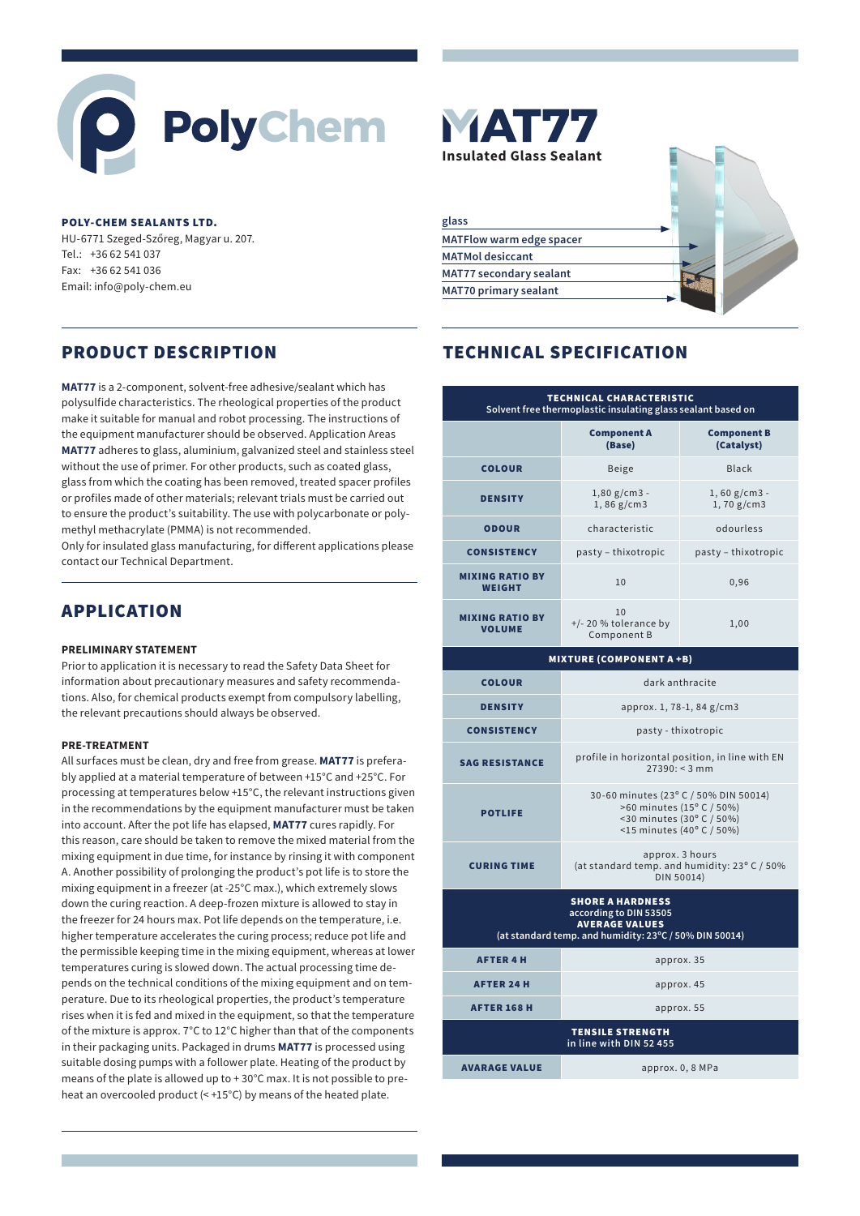# PolyChem

#### **POLY-CHEM SEALANTS LTD.**

HU-6771 Szeged-Szőreg, Magyar u. 207. Tel.: +36 62 541 037 Fax: +36 62 541 036 Email: info@poly-chem.eu

**MAT77** is a 2-component, solvent-free adhesive/sealant which has polysulfide characteristics. The rheological properties of the product make it suitable for manual and robot processing. The instructions of the equipment manufacturer should be observed. Application Areas **MAT77** adheres to glass, aluminium, galvanized steel and stainless steel without the use of primer. For other products, such as coated glass, glass from which the coating has been removed, treated spacer profiles or profiles made of other materials; relevant trials must be carried out to ensure the product's suitability. The use with polycarbonate or polymethyl methacrylate (PMMA) is not recommended.

Only for insulated glass manufacturing, for different applications please contact our Technical Department.

# APPLICATION

# **PRELIMINARY STATEMENT**

Prior to application it is necessary to read the Safety Data Sheet for information about precautionary measures and safety recommendations. Also, for chemical products exempt from compulsory labelling, the relevant precautions should always be observed.

# **PRE-TREATMENT**

All surfaces must be clean, dry and free from grease. **MAT77** is preferably applied at a material temperature of between +15°C and +25°C. For processing at temperatures below +15°C, the relevant instructions given in the recommendations by the equipment manufacturer must be taken into account. After the pot life has elapsed, **MAT77** cures rapidly. For this reason, care should be taken to remove the mixed material from the mixing equipment in due time, for instance by rinsing it with component A. Another possibility of prolonging the product's pot life is to store the mixing equipment in a freezer (at -25°C max.), which extremely slows down the curing reaction. A deep-frozen mixture is allowed to stay in the freezer for 24 hours max. Pot life depends on the temperature, i.e. higher temperature accelerates the curing process; reduce pot life and the permissible keeping time in the mixing equipment, whereas at lower temperatures curing is slowed down. The actual processing time depends on the technical conditions of the mixing equipment and on temperature. Due to its rheological properties, the product's temperature rises when it is fed and mixed in the equipment, so that the temperature of the mixture is approx. 7°C to 12°C higher than that of the components in their packaging units. Packaged in drums **MAT77** is processed using suitable dosing pumps with a follower plate. Heating of the product by means of the plate is allowed up to + 30°C max. It is not possible to preheat an overcooled product (< +15°C) by means of the heated plate.



| glass                           |  |
|---------------------------------|--|
| <b>MATFlow warm edge spacer</b> |  |
| <b>MATMol desiccant</b>         |  |
| <b>MAT77 secondary sealant</b>  |  |
| <b>MAT70 primary sealant</b>    |  |
|                                 |  |

# PRODUCT DESCRIPTION TECHNICAL SPECIFICATION

| TECHNICAL CHARACTERISTIC<br>Solvent free thermoplastic insulating glass sealant based on |                                              |                                  |
|------------------------------------------------------------------------------------------|----------------------------------------------|----------------------------------|
|                                                                                          | <b>Component A</b><br>(Base)                 | <b>Component B</b><br>(Catalyst) |
| <b>COLOUR</b>                                                                            | <b>Beige</b>                                 | Black                            |
| <b>DENSITY</b>                                                                           | $1,80 g/cm3 -$<br>1,86 g/cm3                 | $1,60 g/cm3 -$<br>1,70 g/cm3     |
| <b>ODOUR</b>                                                                             | characteristic                               | odourless                        |
| <b>CONSISTENCY</b>                                                                       | pasty - thixotropic                          | pasty – thixotropic              |
| <b>MIXING RATIO BY</b><br><b>WEIGHT</b>                                                  | 10                                           | 0,96                             |
| <b>MIXING RATIO BY</b><br><b>VOLUME</b>                                                  | 10<br>$+/- 20$ % tolerance by<br>Component B | 1,00                             |

# MIXTURE (COMPONENT A +B) COLOUR dark anthracite **DENSITY** approx. 1, 78-1, 84 g/cm3 **CONSISTENCY pasty-thixotropic** SAG RESISTANCE profile in horizontal position, in line with EN  $27390: < 3 \text{ mm}$ 30-60 minutes (23º C / 50% DIN 50014)

>60 minutes (15º C / 50%)

| <b>POTLIFE</b>                                                                                                                       | $\sim$ 00 $\,$ $\sim$ $\,$ $\sim$ $\,$ $\sim$ $\,$ $\sim$ $\,$ $\sim$ $\,$ $\sim$ $\,$ $\sim$ $\,$ $\sim$ $\,$ $\sim$ $\,$ $\sim$ $\,$ $\sim$ $\,$ $\sim$ $\,$ $\sim$ $\,$ $\sim$ $\,$ $\sim$ $\,$ $\sim$ $\,$ $\sim$ $\,$ $\sim$ $\,$ $\sim$ $\,$ $\sim$ $\,$ $\sim$ $\,$<br><30 minutes (30° C / 50%)<br>$<$ 15 minutes (40°C / 50%) |  |  |
|--------------------------------------------------------------------------------------------------------------------------------------|----------------------------------------------------------------------------------------------------------------------------------------------------------------------------------------------------------------------------------------------------------------------------------------------------------------------------------------|--|--|
| <b>CURING TIME</b>                                                                                                                   | approx. 3 hours<br>(at standard temp. and humidity: 23° C / 50%<br>DIN 50014)                                                                                                                                                                                                                                                          |  |  |
| <b>SHORE A HARDNESS</b><br>according to DIN 53505<br><b>AVERAGE VALUES</b><br>(at standard temp. and humidity: 23°C / 50% DIN 50014) |                                                                                                                                                                                                                                                                                                                                        |  |  |
| <b>AFTER 4 H</b>                                                                                                                     | approx. 35                                                                                                                                                                                                                                                                                                                             |  |  |
| <b>AFTER 24 H</b>                                                                                                                    | approx. 45                                                                                                                                                                                                                                                                                                                             |  |  |
| <b>AFTER 168 H</b>                                                                                                                   | approx. 55                                                                                                                                                                                                                                                                                                                             |  |  |
| <b>TENSILE STRENGTH</b><br>in line with DIN 52 455                                                                                   |                                                                                                                                                                                                                                                                                                                                        |  |  |
| <b>AVARAGE VALUE</b>                                                                                                                 | approx. 0, 8 MPa                                                                                                                                                                                                                                                                                                                       |  |  |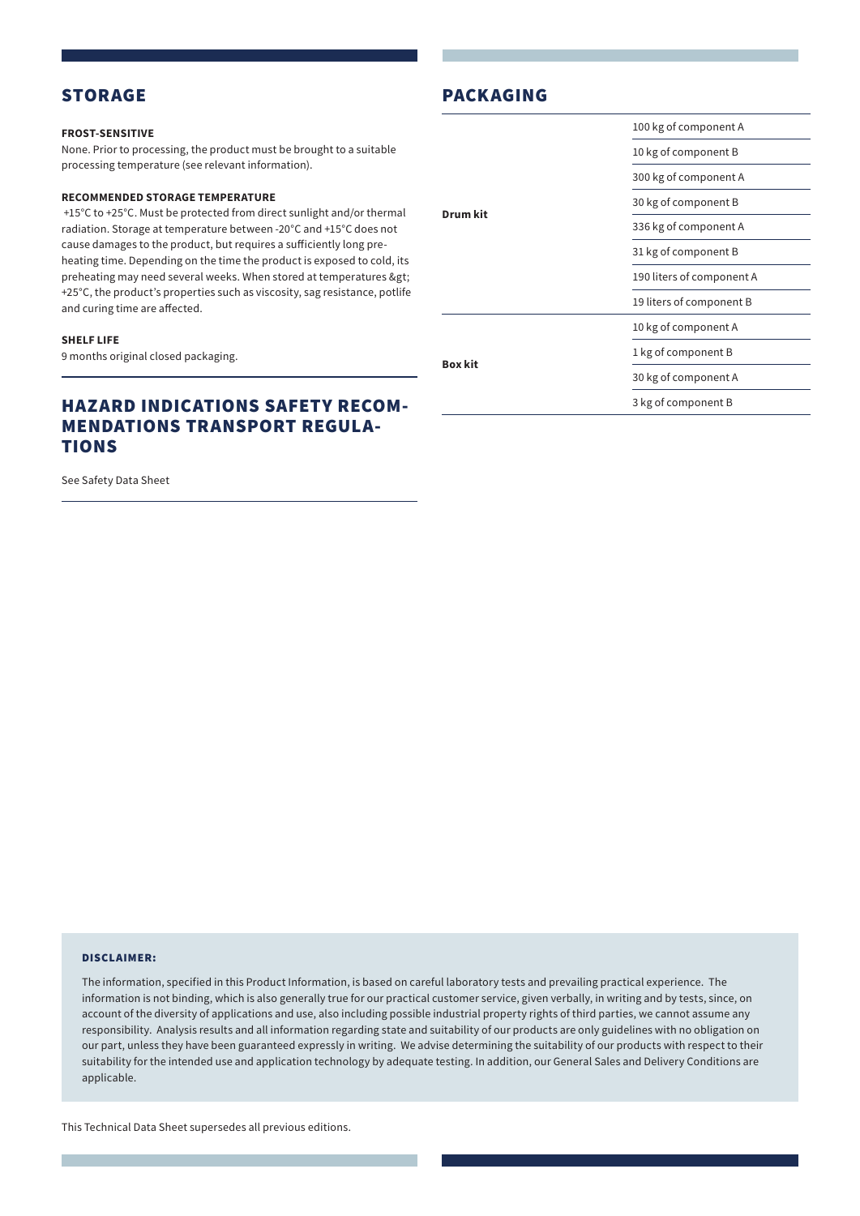# STORAGE

#### **FROST-SENSITIVE**

None. Prior to processing, the product must be brought to a suitable processing temperature (see relevant information).

#### **RECOMMENDED STORAGE TEMPERATURE**

 +15°C to +25°C. Must be protected from direct sunlight and/or thermal radiation. Storage at temperature between -20°C and +15°C does not cause damages to the product, but requires a sufficiently long preheating time. Depending on the time the product is exposed to cold, its preheating may need several weeks. When stored at temperatures > +25°C, the product's properties such as viscosity, sag resistance, potlife and curing time are affected.

# **SHELF LIFE**

9 months original closed packaging.

# HAZARD INDICATIONS SAFETY RECOM-MENDATIONS TRANSPORT REGULA-TIONS

See Safety Data Sheet

# **Drum kit** 100 kg of component A 10 kg of component B 300 kg of component A 30 kg of component B 336 kg of component A 31 kg of component B 190 liters of component A 19 liters of component B **Box kit** 10 kg of component A 1 kg of component B 30 kg of component A 3 kg of component B

PACKAGING

#### DISCLAIMER:

The information, specified in this Product Information, is based on careful laboratory tests and prevailing practical experience. The information is not binding, which is also generally true for our practical customer service, given verbally, in writing and by tests, since, on account of the diversity of applications and use, also including possible industrial property rights of third parties, we cannot assume any responsibility. Analysis results and all information regarding state and suitability of our products are only guidelines with no obligation on our part, unless they have been guaranteed expressly in writing. We advise determining the suitability of our products with respect to their suitability for the intended use and application technology by adequate testing. In addition, our General Sales and Delivery Conditions are applicable.

This Technical Data Sheet supersedes all previous editions.